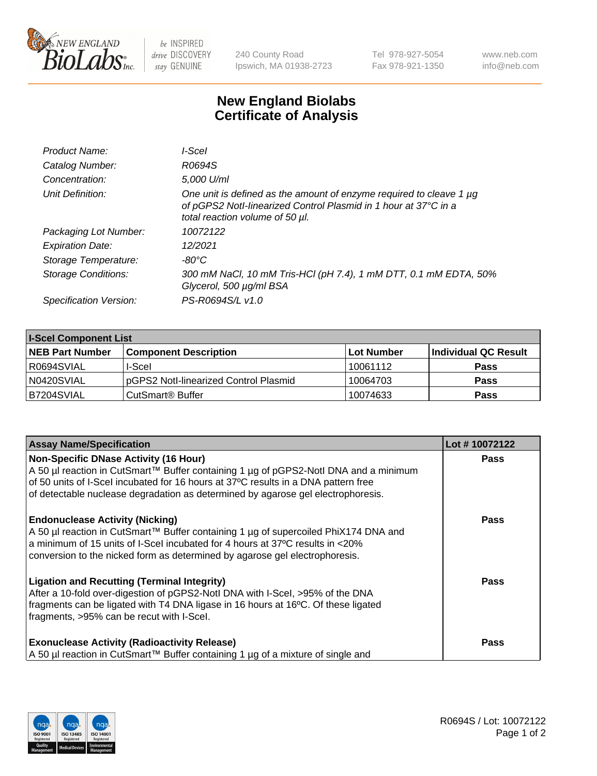

 $be$  INSPIRED drive DISCOVERY stay GENUINE

240 County Road Ipswich, MA 01938-2723 Tel 978-927-5054 Fax 978-921-1350 www.neb.com info@neb.com

## **New England Biolabs Certificate of Analysis**

| Product Name:           | I-Scel                                                                                                                                                                         |
|-------------------------|--------------------------------------------------------------------------------------------------------------------------------------------------------------------------------|
| Catalog Number:         | R0694S                                                                                                                                                                         |
| Concentration:          | 5,000 U/ml                                                                                                                                                                     |
| Unit Definition:        | One unit is defined as the amount of enzyme required to cleave 1 $\mu$ g<br>of pGPS2 Notl-linearized Control Plasmid in 1 hour at 37°C in a<br>total reaction volume of 50 µl. |
| Packaging Lot Number:   | 10072122                                                                                                                                                                       |
| <b>Expiration Date:</b> | 12/2021                                                                                                                                                                        |
| Storage Temperature:    | -80°C                                                                                                                                                                          |
| Storage Conditions:     | 300 mM NaCl, 10 mM Tris-HCl (pH 7.4), 1 mM DTT, 0.1 mM EDTA, 50%<br>Glycerol, 500 µg/ml BSA                                                                                    |
| Specification Version:  | PS-R0694S/L v1.0                                                                                                                                                               |

| <b>I-Scel Component List</b> |                                        |            |                      |  |
|------------------------------|----------------------------------------|------------|----------------------|--|
| <b>NEB Part Number</b>       | <b>Component Description</b>           | Lot Number | Individual QC Result |  |
| R0694SVIAL                   | I-Scel                                 | 10061112   | <b>Pass</b>          |  |
| N0420SVIAL                   | IpGPS2 Notl-linearized Control Plasmid | 10064703   | <b>Pass</b>          |  |
| B7204SVIAL                   | CutSmart <sup>®</sup> Buffer           | 10074633   | <b>Pass</b>          |  |

| <b>Assay Name/Specification</b>                                                                                                                                                                                                                                                                       | Lot #10072122 |
|-------------------------------------------------------------------------------------------------------------------------------------------------------------------------------------------------------------------------------------------------------------------------------------------------------|---------------|
| Non-Specific DNase Activity (16 Hour)<br>A 50 µl reaction in CutSmart™ Buffer containing 1 µg of pGPS2-Notl DNA and a minimum                                                                                                                                                                         | <b>Pass</b>   |
| of 50 units of I-Scel incubated for 16 hours at 37°C results in a DNA pattern free<br>of detectable nuclease degradation as determined by agarose gel electrophoresis.                                                                                                                                |               |
| <b>Endonuclease Activity (Nicking)</b><br>A 50 µl reaction in CutSmart™ Buffer containing 1 µg of supercoiled PhiX174 DNA and<br>$\vert$ a minimum of 15 units of I-Scel incubated for 4 hours at 37°C results in <20%<br>conversion to the nicked form as determined by agarose gel electrophoresis. | <b>Pass</b>   |
| <b>Ligation and Recutting (Terminal Integrity)</b><br>After a 10-fold over-digestion of pGPS2-Notl DNA with I-Scel, >95% of the DNA<br>fragments can be ligated with T4 DNA ligase in 16 hours at 16°C. Of these ligated<br>fragments, >95% can be recut with I-Scel.                                 | Pass          |
| <b>Exonuclease Activity (Radioactivity Release)</b><br>A 50 µl reaction in CutSmart™ Buffer containing 1 µg of a mixture of single and                                                                                                                                                                | Pass          |